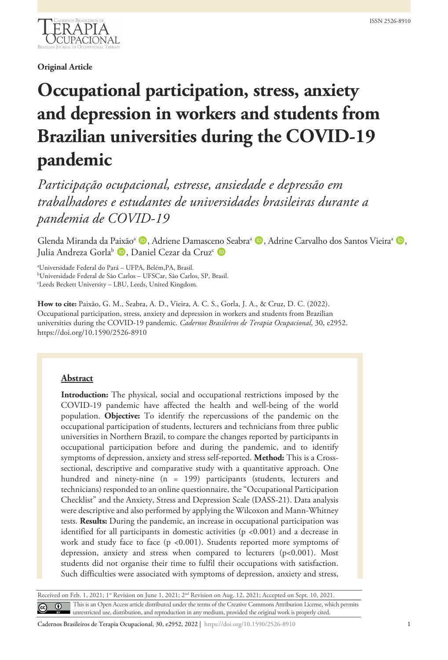

**Original Article**

# **Occupational participation, stress, anxiety and depression in workers and students from Brazilian universities during the COVID-19 pandemic**

*Participação ocupacional, estresse, ansiedade e depressão em trabalhadores e estudantes de universidades brasileiras durante a pandemia de COVID-19*

Glenda Miranda da Paixão<sup>a</sup> (D. Adriene Damasceno Seabra<sup>a</sup> (D. Adrine Carvalho dos Santos Vieira<sup>a</sup> (D. Julia Andreza Gorla<sup>b</sup> D, Daniel Cezar da Cruz<sup>c</sup> D

a Universidade Federal do Pará – UFPA, Belém,PA, Brasil.

b Universidade Federal de São Carlos – UFSCar, São Carlos, SP, Brasil.

c Leeds Beckett University – LBU, Leeds, United Kingdom.

**How to cite:** Paixão, G. M., Seabra, A. D., Vieira, A. C. S., Gorla, J. A., & Cruz, D. C. (2022). Occupational participation, stress, anxiety and depression in workers and students from Brazilian universities during the COVID-19 pandemic. *Cadernos Brasileiros de Terapia Ocupacional*, 30, e2952. https://doi.org/10.1590/2526-8910

#### **Abstract**

**Introduction:** The physical, social and occupational restrictions imposed by the COVID-19 pandemic have affected the health and well-being of the world population. **Objective:** To identify the repercussions of the pandemic on the occupational participation of students, lecturers and technicians from three public universities in Northern Brazil, to compare the changes reported by participants in occupational participation before and during the pandemic, and to identify symptoms of depression, anxiety and stress self-reported. **Method:** This is a Crosssectional, descriptive and comparative study with a quantitative approach. One hundred and ninety-nine (n = 199) participants (students, lecturers and technicians) responded to an online questionnaire, the "Occupational Participation Checklist" and the Anxiety, Stress and Depression Scale (DASS-21). Data analysis were descriptive and also performed by applying the Wilcoxon and Mann-Whitney tests. **Results:** During the pandemic, an increase in occupational participation was identified for all participants in domestic activities (p <0.001) and a decrease in work and study face to face (p <0.001). Students reported more symptoms of depression, anxiety and stress when compared to lecturers (p<0.001). Most students did not organise their time to fulfil their occupations with satisfaction. Such difficulties were associated with symptoms of depression, anxiety and stress,

Received on Feb. 1, 2021; 1<sup>st</sup> Revision on June 1, 2021; 2<sup>nd</sup> Revision on Aug. 12, 2021; Accepted on Sept. 10, 2021. This is an Open Access article distributed under the terms of the Creative Commons Attribution License, which permits unrestricted use, distribution, and reproduction in any medium, provided the original work is properly cited.

Cadernos Brasileiros de Terapia Ocupacional, 30, e2952, 2022 | https://doi.org/10.1590/2526-8910 1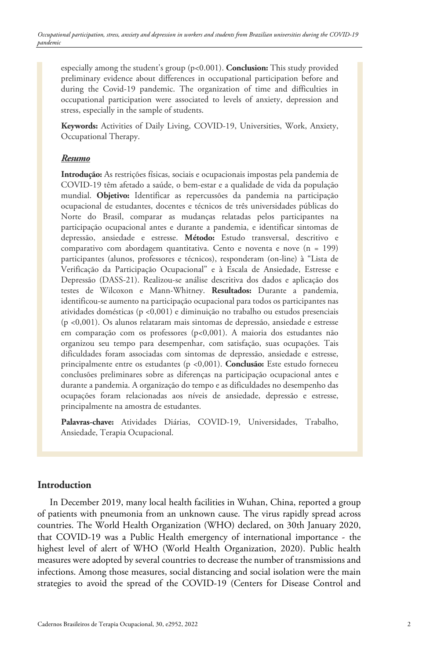especially among the student's group (p<0.001). **Conclusion:** This study provided preliminary evidence about differences in occupational participation before and during the Covid-19 pandemic. The organization of time and difficulties in occupational participation were associated to levels of anxiety, depression and stress, especially in the sample of students.

**Keywords:** Activities of Daily Living, COVID-19, Universities, Work, Anxiety, Occupational Therapy.

#### *Resumo*

**Introdução:** As restrições físicas, sociais e ocupacionais impostas pela pandemia de COVID-19 têm afetado a saúde, o bem-estar e a qualidade de vida da população mundial. **Objetivo:** Identificar as repercussões da pandemia na participação ocupacional de estudantes, docentes e técnicos de três universidades públicas do Norte do Brasil, comparar as mudanças relatadas pelos participantes na participação ocupacional antes e durante a pandemia, e identificar sintomas de depressão, ansiedade e estresse. **Método:** Estudo transversal, descritivo e comparativo com abordagem quantitativa. Cento e noventa e nove (n = 199) participantes (alunos, professores e técnicos), responderam (on-line) à "Lista de Verificação da Participação Ocupacional" e à Escala de Ansiedade, Estresse e Depressão (DASS-21). Realizou-se análise descritiva dos dados e aplicação dos testes de Wilcoxon e Mann-Whitney. **Resultados:** Durante a pandemia, identificou-se aumento na participação ocupacional para todos os participantes nas atividades domésticas (p <0,001) e diminuição no trabalho ou estudos presenciais (p <0,001). Os alunos relataram mais sintomas de depressão, ansiedade e estresse em comparação com os professores (p<0,001). A maioria dos estudantes não organizou seu tempo para desempenhar, com satisfação, suas ocupações. Tais dificuldades foram associadas com sintomas de depressão, ansiedade e estresse, principalmente entre os estudantes (p <0,001). **Conclusão:** Este estudo forneceu conclusões preliminares sobre as diferenças na participação ocupacional antes e durante a pandemia. A organização do tempo e as dificuldades no desempenho das ocupações foram relacionadas aos níveis de ansiedade, depressão e estresse, principalmente na amostra de estudantes.

**Palavras-chave:** Atividades Diárias, COVID-19, Universidades, Trabalho, Ansiedade, Terapia Ocupacional.

### **Introduction**

In December 2019, many local health facilities in Wuhan, China, reported a group of patients with pneumonia from an unknown cause. The virus rapidly spread across countries. The World Health Organization (WHO) declared, on 30th January 2020, that COVID-19 was a Public Health emergency of international importance - the highest level of alert of WHO (World Health Organization, 2020). Public health measures were adopted by several countries to decrease the number of transmissions and infections. Among those measures, social distancing and social isolation were the main strategies to avoid the spread of the COVID-19 (Centers for Disease Control and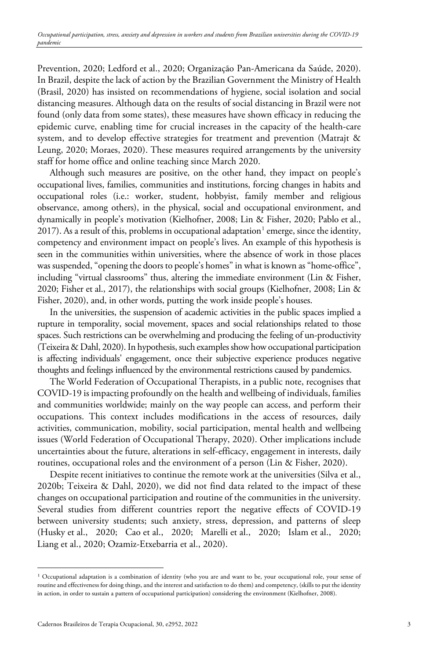Prevention, 2020; Ledford et al., 2020; Organização Pan-Americana da Saúde, 2020). In Brazil, despite the lack of action by the Brazilian Government the Ministry of Health (Brasil, 2020) has insisted on recommendations of hygiene, social isolation and social distancing measures. Although data on the results of social distancing in Brazil were not found (only data from some states), these measures have shown efficacy in reducing the epidemic curve, enabling time for crucial increases in the capacity of the health-care system, and to develop effective strategies for treatment and prevention (Matrajt & Leung, 2020; Moraes, 2020). These measures required arrangements by the university staff for home office and online teaching since March 2020.

Although such measures are positive, on the other hand, they impact on people's occupational lives, families, communities and institutions, forcing changes in habits and occupational roles (i.e.: worker, student, hobbyist, family member and religious observance, among others), in the physical, social and occupational environment, and dynamically in people's motivation (Kielhofner, 2008; Lin & Fisher, 2020; Pablo et al., 20[1](#page-2-0)7). As a result of this, problems in occupational adaptation<sup>1</sup> emerge, since the identity, competency and environment impact on people's lives. An example of this hypothesis is seen in the communities within universities, where the absence of work in those places was suspended, "opening the doors to people's homes" in what is known as "home-office", including "virtual classrooms" thus, altering the immediate environment (Lin & Fisher, 2020; Fisher et al., 2017), the relationships with social groups (Kielhofner, 2008; Lin & Fisher, 2020), and, in other words, putting the work inside people's houses.

In the universities, the suspension of academic activities in the public spaces implied a rupture in temporality, social movement, spaces and social relationships related to those spaces. Such restrictions can be overwhelming and producing the feeling of un-productivity (Teixeira & Dahl, 2020). In hypothesis, such examples show how occupational participation is affecting individuals' engagement, once their subjective experience produces negative thoughts and feelings influenced by the environmental restrictions caused by pandemics.

The World Federation of Occupational Therapists, in a public note, recognises that COVID-19 is impacting profoundly on the health and wellbeing of individuals, families and communities worldwide; mainly on the way people can access, and perform their occupations. This context includes modifications in the access of resources, daily activities, communication, mobility, social participation, mental health and wellbeing issues (World Federation of Occupational Therapy, 2020). Other implications include uncertainties about the future, alterations in self-efficacy, engagement in interests, daily routines, occupational roles and the environment of a person (Lin & Fisher, 2020).

Despite recent initiatives to continue the remote work at the universities (Silva et al., 2020b; Teixeira & Dahl, 2020), we did not find data related to the impact of these changes on occupational participation and routine of the communities in the university. Several studies from different countries report the negative effects of COVID-19 between university students; such anxiety, stress, depression, and patterns of sleep (Husky et al., 2020; Cao et al., 2020; Marelli et al., 2020; Islam et al., 2020; Liang et al., 2020; Ozamiz-Etxebarria et al., 2020).

<span id="page-2-0"></span><sup>&</sup>lt;sup>1</sup> Occupational adaptation is a combination of identity (who you are and want to be, your occupational role, your sense of routine and effectiveness for doing things, and the interest and satisfaction to do them) and competency, (skills to put the identity in action, in order to sustain a pattern of occupational participation) considering the environment (Kielhofner, 2008).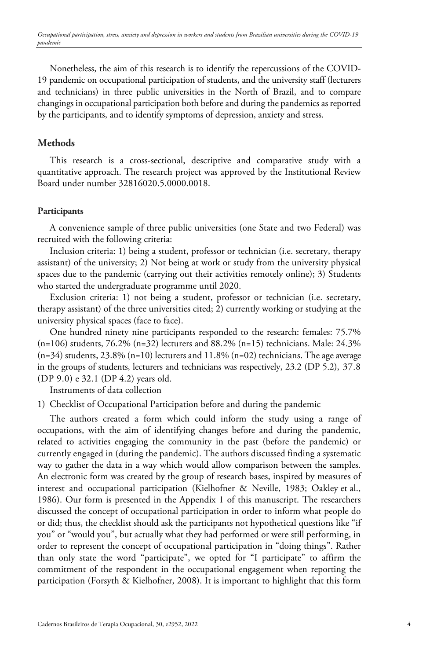Nonetheless, the aim of this research is to identify the repercussions of the COVID-19 pandemic on occupational participation of students, and the university staff (lecturers and technicians) in three public universities in the North of Brazil, and to compare changings in occupational participation both before and during the pandemics as reported by the participants, and to identify symptoms of depression, anxiety and stress.

## **Methods**

This research is a cross-sectional, descriptive and comparative study with a quantitative approach. The research project was approved by the Institutional Review Board under number 32816020.5.0000.0018.

#### **Participants**

A convenience sample of three public universities (one State and two Federal) was recruited with the following criteria:

Inclusion criteria: 1) being a student, professor or technician (i.e. secretary, therapy assistant) of the university; 2) Not being at work or study from the university physical spaces due to the pandemic (carrying out their activities remotely online); 3) Students who started the undergraduate programme until 2020.

Exclusion criteria: 1) not being a student, professor or technician (i.e. secretary, therapy assistant) of the three universities cited; 2) currently working or studying at the university physical spaces (face to face).

One hundred ninety nine participants responded to the research: females: 75.7% (n=106) students, 76.2% (n=32) lecturers and 88.2% (n=15) technicians. Male: 24.3%  $(n=34)$  students, 23.8%  $(n=10)$  lecturers and 11.8%  $(n=02)$  technicians. The age average in the groups of students, lecturers and technicians was respectively, 23.2 (DP 5.2), 37.8 (DP 9.0) e 32.1 (DP 4.2) years old.

Instruments of data collection

1) Checklist of Occupational Participation before and during the pandemic

The authors created a form which could inform the study using a range of occupations, with the aim of identifying changes before and during the pandemic, related to activities engaging the community in the past (before the pandemic) or currently engaged in (during the pandemic). The authors discussed finding a systematic way to gather the data in a way which would allow comparison between the samples. An electronic form was created by the group of research bases, inspired by measures of interest and occupational participation (Kielhofner & Neville, 1983; Oakley et al., 1986). Our form is presented in the Appendix 1 of this manuscript. The researchers discussed the concept of occupational participation in order to inform what people do or did; thus, the checklist should ask the participants not hypothetical questions like "if you" or "would you", but actually what they had performed or were still performing, in order to represent the concept of occupational participation in "doing things". Rather than only state the word "participate", we opted for "I participate" to affirm the commitment of the respondent in the occupational engagement when reporting the participation (Forsyth & Kielhofner, 2008). It is important to highlight that this form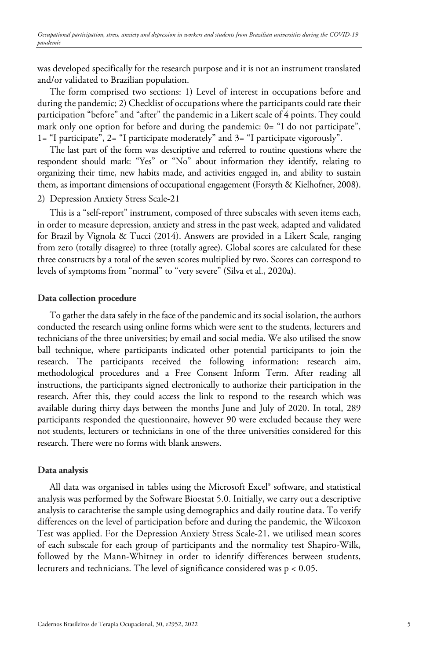was developed specifically for the research purpose and it is not an instrument translated and/or validated to Brazilian population.

The form comprised two sections: 1) Level of interest in occupations before and during the pandemic; 2) Checklist of occupations where the participants could rate their participation "before" and "after" the pandemic in a Likert scale of 4 points. They could mark only one option for before and during the pandemic: 0= "I do not participate", 1= "I participate", 2= "I participate moderately" and 3= "I participate vigorously".

The last part of the form was descriptive and referred to routine questions where the respondent should mark: "Yes" or "No" about information they identify, relating to organizing their time, new habits made, and activities engaged in, and ability to sustain them, as important dimensions of occupational engagement (Forsyth & Kielhofner, 2008).

### 2) Depression Anxiety Stress Scale-21

This is a "self-report" instrument, composed of three subscales with seven items each, in order to measure depression, anxiety and stress in the past week, adapted and validated for Brazil by Vignola & Tucci (2014). Answers are provided in a Likert Scale, ranging from zero (totally disagree) to three (totally agree). Global scores are calculated for these three constructs by a total of the seven scores multiplied by two. Scores can correspond to levels of symptoms from "normal" to "very severe" (Silva et al., 2020a).

#### **Data collection procedure**

To gather the data safely in the face of the pandemic and its social isolation, the authors conducted the research using online forms which were sent to the students, lecturers and technicians of the three universities; by email and social media. We also utilised the snow ball technique, where participants indicated other potential participants to join the research. The participants received the following information: research aim, methodological procedures and a Free Consent Inform Term. After reading all instructions, the participants signed electronically to authorize their participation in the research. After this, they could access the link to respond to the research which was available during thirty days between the months June and July of 2020. In total, 289 participants responded the questionnaire, however 90 were excluded because they were not students, lecturers or technicians in one of the three universities considered for this research. There were no forms with blank answers.

#### **Data analysis**

All data was organised in tables using the Microsoft Excel® software, and statistical analysis was performed by the Software Bioestat 5.0. Initially, we carry out a descriptive analysis to carachterise the sample using demographics and daily routine data. To verify differences on the level of participation before and during the pandemic, the Wilcoxon Test was applied. For the Depression Anxiety Stress Scale-21, we utilised mean scores of each subscale for each group of participants and the normality test Shapiro-Wilk, followed by the Mann-Whitney in order to identify differences between students, lecturers and technicians. The level of significance considered was p < 0.05.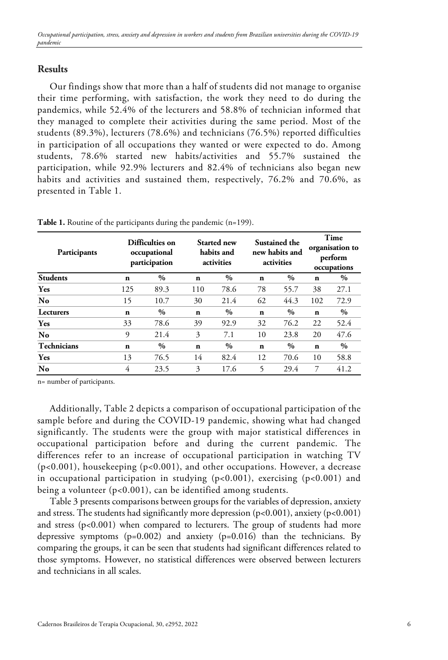## **Results**

Our findings show that more than a half of students did not manage to organise their time performing, with satisfaction, the work they need to do during the pandemics, while 52.4% of the lecturers and 58.8% of technician informed that they managed to complete their activities during the same period. Most of the students (89.3%), lecturers (78.6%) and technicians (76.5%) reported difficulties in participation of all occupations they wanted or were expected to do. Among students, 78.6% started new habits/activities and 55.7% sustained the participation, while 92.9% lecturers and 82.4% of technicians also began new habits and activities and sustained them, respectively, 76.2% and 70.6%, as presented in Table 1.

| Participants       |             | Difficulties on<br>occupational<br>participation |             | Started new<br>habits and<br>activities |             | Sustained the<br>new habits and<br>activities | Time<br>organisation to<br>perform<br>occupations |      |
|--------------------|-------------|--------------------------------------------------|-------------|-----------------------------------------|-------------|-----------------------------------------------|---------------------------------------------------|------|
| <b>Students</b>    | $\mathbf n$ | $\%$                                             | $\mathbf n$ | $\%$                                    | $\mathbf n$ | $\%$                                          | $\mathbf n$                                       | $\%$ |
| <b>Yes</b>         | 125         | 89.3                                             | 110         | 78.6                                    | 78          | 55.7                                          | 38                                                | 27.1 |
| N <sub>o</sub>     | 15          | 10.7                                             | 30          | 21.4                                    | 62          | 44.3                                          | 102                                               | 72.9 |
| Lecturers          | n           | $\%$                                             | $\mathbf n$ | $\%$                                    | $\mathbf n$ | $\%$                                          | $\mathbf n$                                       | $\%$ |
| <b>Yes</b>         | 33          | 78.6                                             | 39          | 92.9                                    | 32          | 76.2                                          | 22                                                | 52.4 |
| No                 | 9           | 21.4                                             | 3           | 7.1                                     | 10          | 23.8                                          | 20                                                | 47.6 |
| <b>Technicians</b> | $\mathbf n$ | $\%$                                             | $\mathbf n$ | $\%$                                    | $\mathbf n$ | $\%$                                          | $\mathbf n$                                       | $\%$ |
| Yes                | 13          | 76.5                                             | 14          | 82.4                                    | 12          | 70.6                                          | 10                                                | 58.8 |
| N <sub>o</sub>     | 4           | 23.5                                             | 3           | 17.6                                    | 5           | 29.4                                          | 7                                                 | 41.2 |

**Table 1.** Routine of the participants during the pandemic (n=199).

n= number of participants.

Additionally, Table 2 depicts a comparison of occupational participation of the sample before and during the COVID-19 pandemic, showing what had changed significantly. The students were the group with major statistical differences in occupational participation before and during the current pandemic. The differences refer to an increase of occupational participation in watching TV (p<0.001), housekeeping (p<0.001), and other occupations. However, a decrease in occupational participation in studying (p<0.001), exercising (p<0.001) and being a volunteer (p<0.001), can be identified among students.

Table 3 presents comparisons between groups for the variables of depression, anxiety and stress. The students had significantly more depression ( $p<0.001$ ), anxiety ( $p<0.001$ ) and stress (p<0.001) when compared to lecturers. The group of students had more depressive symptoms  $(p=0.002)$  and anxiety  $(p=0.016)$  than the technicians. By comparing the groups, it can be seen that students had significant differences related to those symptoms. However, no statistical differences were observed between lecturers and technicians in all scales.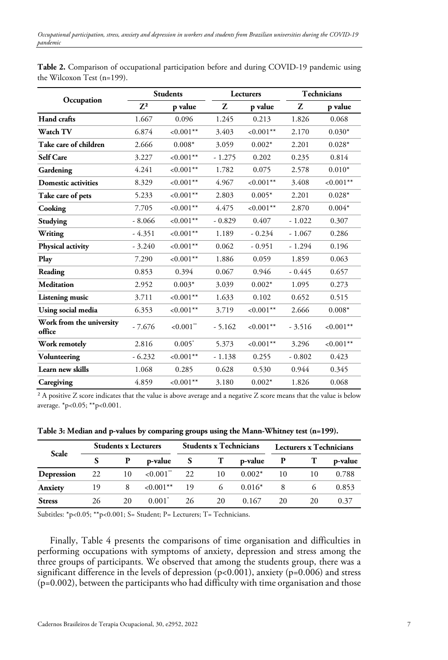|                                    |                | <b>Students</b>         |          | Lecturers    |          | Technicians  |
|------------------------------------|----------------|-------------------------|----------|--------------|----------|--------------|
| Occupation                         | 7 <sup>2</sup> | p value                 | Z        | p value      | Z        | p value      |
| Hand crafts                        | 1.667          | 0.096                   | 1.245    | 0.213        | 1.826    | 0.068        |
| <b>Watch TV</b>                    | 6.874          | ${<}0.001**$            | 3.403    | $< 0.001$ ** | 2.170    | $0.030*$     |
| Take care of children              | 2.666          | $0.008*$                | 3.059    | $0.002*$     | 2.201    | $0.028*$     |
| <b>Self Care</b>                   | 3.227          | ${<}0.001**$            | $-1.275$ | 0.202        | 0.235    | 0.814        |
| Gardening                          | 4.241          | $< 0.001**$             | 1.782    | 0.075        | 2.578    | $0.010*$     |
| <b>Domestic activities</b>         | 8.329          | ${<}0.001**$            | 4.967    | $< 0.001$ ** | 3.408    | ${<}0.001**$ |
| Take care of pets                  | 5.233          | $< 0.001**$             | 2.803    | $0.005*$     | 2.201    | $0.028*$     |
| Cooking                            | 7.705          | $< 0.001$ **            | 4.475    | $< 0.001**$  | 2.870    | $0.004*$     |
| Studying                           | $-8.066$       | ${<}0.001**$            | $-0.829$ | 0.407        | $-1.022$ | 0.307        |
| Writing                            | $-4.351$       | $< 0.001$ **            | 1.189    | $-0.234$     | $-1.067$ | 0.286        |
| Physical activity                  | $-3.240$       | $< 0.001$ **            | 0.062    | $-0.951$     | $-1.294$ | 0.196        |
| Play                               | 7.290          | ${<}0.001**$            | 1.886    | 0.059        | 1.859    | 0.063        |
| Reading                            | 0.853          | 0.394                   | 0.067    | 0.946        | $-0.445$ | 0.657        |
| <b>Meditation</b>                  | 2.952          | $0.003*$                | 3.039    | $0.002*$     | 1.095    | 0.273        |
| <b>Listening music</b>             | 3.711          | ${<}0.001**$            | 1.633    | 0.102        | 0.652    | 0.515        |
| Using social media                 | 6.353          | ${<}0.001**$            | 3.719    | ${<}0.001**$ | 2.666    | $0.008*$     |
| Work from the university<br>office | $-7.676$       | $< 0.001$ <sup>**</sup> | $-5.162$ | ${<}0.001**$ | $-3.516$ | ${<}0.001**$ |
| Work remotely                      | 2.816          | $0.005*$                | 5.373    | ${<}0.001**$ | 3.296    | ${<}0.001**$ |
| Volunteering                       | $-6.232$       | $< 0.001$ **            | $-1.138$ | 0.255        | $-0.802$ | 0.423        |
| Learn new skills                   | 1.068          | 0.285                   | 0.628    | 0.530        | 0.944    | 0.345        |
| Caregiving                         | 4.859          | ${<}0.001**$            | 3.180    | $0.002*$     | 1.826    | 0.068        |

**Table 2.** Comparison of occupational participation before and during COVID-19 pandemic using the Wilcoxon Test (n=199).

² A positive Z score indicates that the value is above average and a negative Z score means that the value is below average. \*p<0.05; \*\*p<0.001.

**Table 3: Median and p-values by comparing groups using the Mann-Whitney test (n=199).**

| Scale         |    | <b>Students x Lecturers</b> |                          |              | <b>Students x Technicians</b> |          |    | Lecturers x Technicians |         |  |
|---------------|----|-----------------------------|--------------------------|--------------|-------------------------------|----------|----|-------------------------|---------|--|
|               |    | P                           | p-value                  | <sub>S</sub> |                               | p-value  |    |                         | p-value |  |
| Depression    | 22 | 10                          | ${<}0.001$ <sup>**</sup> | 22           | 10                            | $0.002*$ | 10 | 10                      | 0.788   |  |
| Anxiety       | 19 | 8                           | ${<}0.001***$            | - 19         | 6                             | $0.016*$ |    |                         | 0.853   |  |
| <b>Stress</b> | 26 | 20                          | $0.001^*$                | 26           | 20                            | 0.167    | 20 | 20                      | 0.37    |  |

Subtitles: \*p<0.05; \*\*p<0.001; S= Student; P= Lecturers; T= Technicians.

Finally, Table 4 presents the comparisons of time organisation and difficulties in performing occupations with symptoms of anxiety, depression and stress among the three groups of participants. We observed that among the students group, there was a significant difference in the levels of depression (p<0.001), anxiety (p=0.006) and stress  $(p=0.002)$ , between the participants who had difficulty with time organisation and those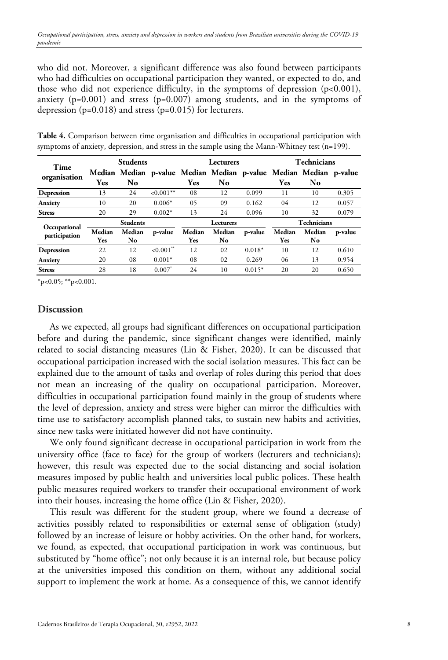who did not. Moreover, a significant difference was also found between participants who had difficulties on occupational participation they wanted, or expected to do, and those who did not experience difficulty, in the symptoms of depression (p<0.001), anxiety  $(p=0.001)$  and stress  $(p=0.007)$  among students, and in the symptoms of depression  $(p=0.018)$  and stress  $(p=0.015)$  for lecturers.

| Time          |            | <b>Students</b> |                         |        | Lecturers                                                         |          |        | Technicians        |         |
|---------------|------------|-----------------|-------------------------|--------|-------------------------------------------------------------------|----------|--------|--------------------|---------|
| organisation  |            |                 |                         |        | Median Median p-value Median Median p-value Median Median p-value |          |        |                    |         |
|               | Yes        | No.             |                         | Yes    | N <sub>0</sub>                                                    |          | Yes    | No                 |         |
| Depression    | 13         | 24              | $< 0.001**$             | 08     | 12                                                                | 0.099    | 11     | 10                 | 0.305   |
| Anxiety       | 10         | 20              | $0.006*$                | 05     | 09                                                                | 0.162    | 04     | 12                 | 0.057   |
| <b>Stress</b> | 20         | 29              | $0.002*$                | 13     | 24                                                                | 0.096    | 10     | 32                 | 0.079   |
| Occupational  |            | <b>Students</b> |                         |        | Lecturers                                                         |          |        | <b>Technicians</b> |         |
| participation | Median     | Median          | p-value                 | Median | Median                                                            | p-value  | Median | Median             | p-value |
|               | <b>Yes</b> | No              |                         | Yes    | No.                                                               |          | Yes    | No                 |         |
| Depression    | 22         | 12              | $< 0.001$ <sup>**</sup> | 12     | 02                                                                | $0.018*$ | 10     | 12                 | 0.610   |
| Anxiety       | 20         | 08              | $0.001*$                | 08     | 02                                                                | 0.269    | 06     | 13                 | 0.954   |
| <b>Stress</b> | 28         | 18              | $0.007$ <sup>*</sup>    | 24     | 10                                                                | $0.015*$ | 20     | 20                 | 0.650   |

**Table 4.** Comparison between time organisation and difficulties in occupational participation with symptoms of anxiety, depression, and stress in the sample using the Mann-Whitney test (n=199).

 $*_{p<0.05;}$  \*\*p<0.001.

#### **Discussion**

As we expected, all groups had significant differences on occupational participation before and during the pandemic, since significant changes were identified, mainly related to social distancing measures (Lin & Fisher, 2020). It can be discussed that occupational participation increased with the social isolation measures. This fact can be explained due to the amount of tasks and overlap of roles during this period that does not mean an increasing of the quality on occupational participation. Moreover, difficulties in occupational participation found mainly in the group of students where the level of depression, anxiety and stress were higher can mirror the difficulties with time use to satisfactory accomplish planned taks, to sustain new habits and activities, since new tasks were initiated however did not have continuity.

We only found significant decrease in occupational participation in work from the university office (face to face) for the group of workers (lecturers and technicians); however, this result was expected due to the social distancing and social isolation measures imposed by public health and universities local public polices. These health public measures required workers to transfer their occupational environment of work into their houses, increasing the home office (Lin & Fisher, 2020).

This result was different for the student group, where we found a decrease of activities possibly related to responsibilities or external sense of obligation (study) followed by an increase of leisure or hobby activities. On the other hand, for workers, we found, as expected, that occupational participation in work was continuous, but substituted by "home office"; not only because it is an internal role, but because policy at the universities imposed this condition on them, without any additional social support to implement the work at home. As a consequence of this, we cannot identify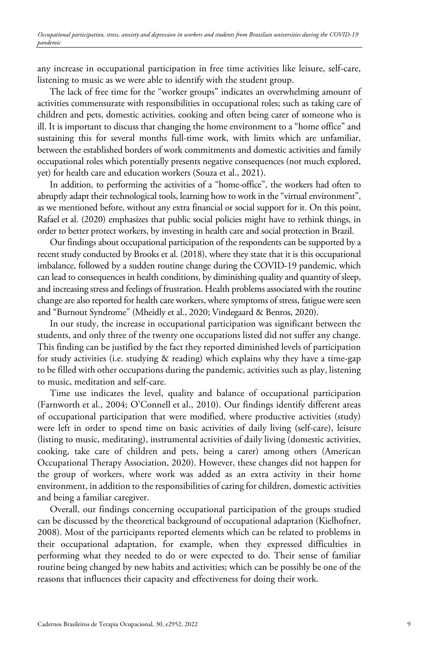any increase in occupational participation in free time activities like leisure, self-care, listening to music as we were able to identify with the student group.

The lack of free time for the "worker groups" indicates an overwhelming amount of activities commensurate with responsibilities in occupational roles; such as taking care of children and pets, domestic activities, cooking and often being carer of someone who is ill. It is important to discuss that changing the home environment to a "home office" and sustaining this for several months full-time work, with limits which are unfamiliar, between the established borders of work commitments and domestic activities and family occupational roles which potentially presents negative consequences (not much explored, yet) for health care and education workers (Souza et al., 2021).

In addition, to performing the activities of a "home-office", the workers had often to abruptly adapt their technological tools, learning how to work in the "virtual environment", as we mentioned before, without any extra financial or social support for it. On this point, Rafael et al. (2020) emphasizes that public social policies might have to rethink things, in order to better protect workers, by investing in health care and social protection in Brazil.

Our findings about occupational participation of the respondents can be supported by a recent study conducted by Brooks et al. (2018), where they state that it is this occupational imbalance, followed by a sudden routine change during the COVID-19 pandemic, which can lead to consequences in health conditions, by diminishing quality and quantity of sleep, and increasing stress and feelings of frustration. Health problems associated with the routine change are also reported for health care workers, where symptoms of stress, fatigue were seen and "Burnout Syndrome" (Mheidly et al., 2020; Vindegaard & Benros, 2020).

In our study, the increase in occupational participation was significant between the students, and only three of the twenty one occupations listed did not suffer any change. This finding can be justified by the fact they reported diminished levels of participation for study activities (i.e. studying & reading) which explains why they have a time-gap to be filled with other occupations during the pandemic, activities such as play, listening to music, meditation and self-care.

Time use indicates the level, quality and balance of occupational participation (Farnworth et al., 2004; O'Connell et al., 2010). Our findings identify different areas of occupational participation that were modified, where productive activities (study) were left in order to spend time on basic activities of daily living (self-care), leisure (listing to music, meditating), instrumental activities of daily living (domestic activities, cooking, take care of children and pets, being a carer) among others (American Occupational Therapy Association, 2020). However, these changes did not happen for the group of workers, where work was added as an extra activity in their home environment, in addition to the responsibilities of caring for children, domestic activities and being a familiar caregiver.

Overall, our findings concerning occupational participation of the groups studied can be discussed by the theoretical background of occupational adaptation (Kielhofner, 2008). Most of the participants reported elements which can be related to problems in their occupational adaptation, for example, when they expressed difficulties in performing what they needed to do or were expected to do. Their sense of familiar routine being changed by new habits and activities; which can be possibly be one of the reasons that influences their capacity and effectiveness for doing their work.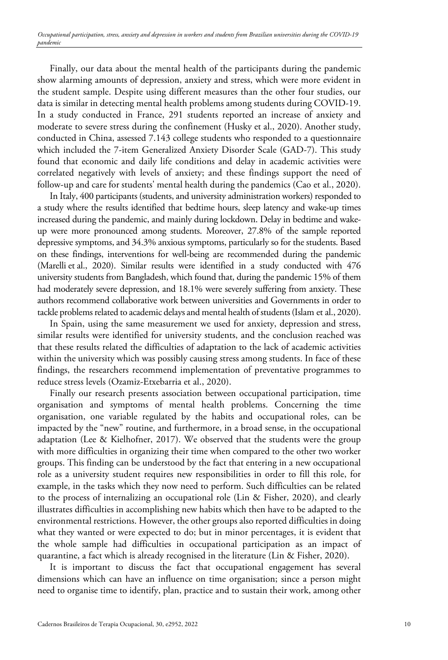Finally, our data about the mental health of the participants during the pandemic show alarming amounts of depression, anxiety and stress, which were more evident in the student sample. Despite using different measures than the other four studies, our data is similar in detecting mental health problems among students during COVID-19. In a study conducted in France, 291 students reported an increase of anxiety and moderate to severe stress during the confinement (Husky et al., 2020). Another study, conducted in China, assessed 7.143 college students who responded to a questionnaire which included the 7-item Generalized Anxiety Disorder Scale (GAD-7). This study found that economic and daily life conditions and delay in academic activities were correlated negatively with levels of anxiety; and these findings support the need of follow-up and care for students' mental health during the pandemics (Cao et al., 2020).

In Italy, 400 participants (students, and university administration workers) responded to a study where the results identified that bedtime hours, sleep latency and wake-up times increased during the pandemic, and mainly during lockdown. Delay in bedtime and wakeup were more pronounced among students. Moreover, 27.8% of the sample reported depressive symptoms, and 34.3% anxious symptoms, particularly so for the students. Based on these findings, interventions for well-being are recommended during the pandemic (Marelli et al., 2020). Similar results were identified in a study conducted with 476 university students from Bangladesh, which found that, during the pandemic 15% of them had moderately severe depression, and 18.1% were severely suffering from anxiety. These authors recommend collaborative work between universities and Governments in order to tackle problems related to academic delays and mental health of students (Islam et al., 2020).

In Spain, using the same measurement we used for anxiety, depression and stress, similar results were identified for university students, and the conclusion reached was that these results related the difficulties of adaptation to the lack of academic activities within the university which was possibly causing stress among students. In face of these findings, the researchers recommend implementation of preventative programmes to reduce stress levels (Ozamiz-Etxebarria et al., 2020).

Finally our research presents association between occupational participation, time organisation and symptoms of mental health problems. Concerning the time organisation, one variable regulated by the habits and occupational roles, can be impacted by the "new" routine, and furthermore, in a broad sense, in the occupational adaptation (Lee & Kielhofner, 2017). We observed that the students were the group with more difficulties in organizing their time when compared to the other two worker groups. This finding can be understood by the fact that entering in a new occupational role as a university student requires new responsibilities in order to fill this role, for example, in the tasks which they now need to perform. Such difficulties can be related to the process of internalizing an occupational role (Lin & Fisher, 2020), and clearly illustrates difficulties in accomplishing new habits which then have to be adapted to the environmental restrictions. However, the other groups also reported difficulties in doing what they wanted or were expected to do; but in minor percentages, it is evident that the whole sample had difficulties in occupational participation as an impact of quarantine, a fact which is already recognised in the literature (Lin & Fisher, 2020).

It is important to discuss the fact that occupational engagement has several dimensions which can have an influence on time organisation; since a person might need to organise time to identify, plan, practice and to sustain their work, among other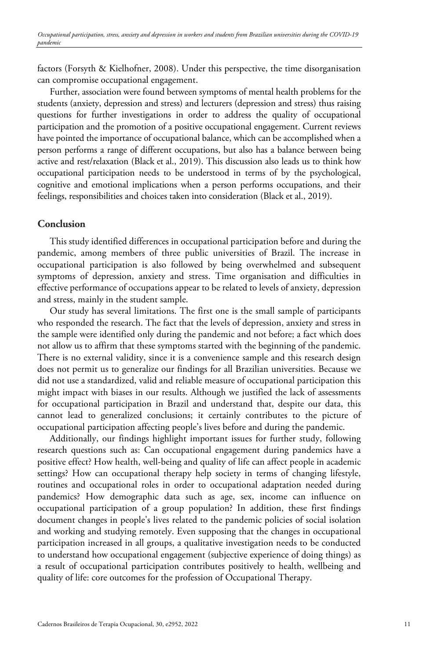factors (Forsyth & Kielhofner, 2008). Under this perspective, the time disorganisation can compromise occupational engagement.

Further, association were found between symptoms of mental health problems for the students (anxiety, depression and stress) and lecturers (depression and stress) thus raising questions for further investigations in order to address the quality of occupational participation and the promotion of a positive occupational engagement. Current reviews have pointed the importance of occupational balance, which can be accomplished when a person performs a range of different occupations, but also has a balance between being active and rest/relaxation (Black et al., 2019). This discussion also leads us to think how occupational participation needs to be understood in terms of by the psychological, cognitive and emotional implications when a person performs occupations, and their feelings, responsibilities and choices taken into consideration (Black et al., 2019).

#### **Conclusion**

This study identified differences in occupational participation before and during the pandemic, among members of three public universities of Brazil. The increase in occupational participation is also followed by being overwhelmed and subsequent symptoms of depression, anxiety and stress. Time organisation and difficulties in effective performance of occupations appear to be related to levels of anxiety, depression and stress, mainly in the student sample.

Our study has several limitations. The first one is the small sample of participants who responded the research. The fact that the levels of depression, anxiety and stress in the sample were identified only during the pandemic and not before; a fact which does not allow us to affirm that these symptoms started with the beginning of the pandemic. There is no external validity, since it is a convenience sample and this research design does not permit us to generalize our findings for all Brazilian universities. Because we did not use a standardized, valid and reliable measure of occupational participation this might impact with biases in our results. Although we justified the lack of assessments for occupational participation in Brazil and understand that, despite our data, this cannot lead to generalized conclusions; it certainly contributes to the picture of occupational participation affecting people's lives before and during the pandemic.

Additionally, our findings highlight important issues for further study, following research questions such as: Can occupational engagement during pandemics have a positive effect? How health, well-being and quality of life can affect people in academic settings? How can occupational therapy help society in terms of changing lifestyle, routines and occupational roles in order to occupational adaptation needed during pandemics? How demographic data such as age, sex, income can influence on occupational participation of a group population? In addition, these first findings document changes in people's lives related to the pandemic policies of social isolation and working and studying remotely. Even supposing that the changes in occupational participation increased in all groups, a qualitative investigation needs to be conducted to understand how occupational engagement (subjective experience of doing things) as a result of occupational participation contributes positively to health, wellbeing and quality of life: core outcomes for the profession of Occupational Therapy.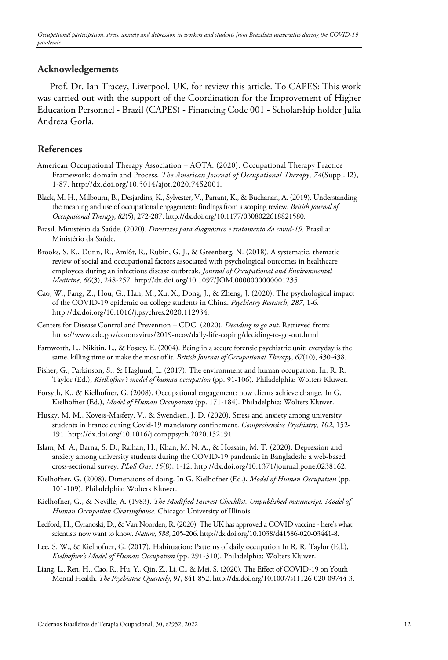## **Acknowledgements**

Prof. Dr. Ian Tracey, Liverpool, UK, for review this article. To CAPES: This work was carried out with the support of the Coordination for the Improvement of Higher Education Personnel - Brazil (CAPES) - Financing Code 001 - Scholarship holder Julia Andreza Gorla.

## **References**

- American Occupational Therapy Association AOTA. (2020). Occupational Therapy Practice Framework: domain and Process. *The American Journal of Occupational Therapy*, *74*(Suppl. l2), 1-87. http://dx.doi.org/10.5014/ajot.2020.74S2001.
- Black, M. H., Milbourn, B., Desjardins, K., Sylvester, V., Parrant, K., & Buchanan, A. (2019). Understanding the meaning and use of occupational engagement: findings from a scoping review. *British Journal of Occupational Therapy*, *82*(5), 272-287. http://dx.doi.org/10.1177/0308022618821580.
- Brasil. Ministério da Saúde. (2020). *Diretrizes para diagnóstico e tratamento da covid-19*. Brasília: Ministério da Saúde.
- Brooks, S. K., Dunn, R., Amlôt, R., Rubin, G. J., & Greenberg, N. (2018). A systematic, thematic review of social and occupational factors associated with psychological outcomes in healthcare employees during an infectious disease outbreak. *Journal of Occupational and Environmental Medicine*, *60*(3), 248-257. http://dx.doi.org/10.1097/JOM.0000000000001235.
- Cao, W., Fang, Z., Hou, G., Han, M., Xu, X., Dong, J., & Zheng, J. (2020). The psychological impact of the COVID-19 epidemic on college students in China. *Psychiatry Research*, *287*, 1-6. http://dx.doi.org/10.1016/j.psychres.2020.112934.
- Centers for Disease Control and Prevention CDC. (2020). *Deciding to go out*. Retrieved from: https://www.cdc.gov/coronavirus/2019-ncov/daily-life-coping/deciding-to-go-out.html
- Farnworth, L., Nikitin, L., & Fossey, E. (2004). Being in a secure forensic psychiatric unit: everyday is the same, killing time or make the most of it. *British Journal of Occupational Therapy*, *67*(10), 430-438.
- Fisher, G., Parkinson, S., & Haglund, L. (2017). The environment and human occupation. In: R. R. Taylor (Ed.), *Kielhofner's model of human occupation* (pp. 91-106). Philadelphia: Wolters Kluwer.
- Forsyth, K., & Kielhofner, G. (2008). Occupational engagement: how clients achieve change. In G. Kielhofner (Ed.), *Model of Human Occupation* (pp. 171-184). Philadelphia: Wolters Kluwer.
- Husky, M. M., Kovess-Masfety, V., & Swendsen, J. D. (2020). Stress and anxiety among university students in France during Covid-19 mandatory confinement. *Comprehensive Psychiatry*, *102*, 152- 191. http://dx.doi.org/10.1016/j.comppsych.2020.152191.
- Islam, M. A., Barna, S. D., Raihan, H., Khan, M. N. A., & Hossain, M. T. (2020). Depression and anxiety among university students during the COVID-19 pandemic in Bangladesh: a web-based cross-sectional survey. *PLoS One*, *15*(8), 1-12. http://dx.doi.org/10.1371/journal.pone.0238162.
- Kielhofner, G. (2008). Dimensions of doing. In G. Kielhofner (Ed.), *Model of Human Occupation* (pp. 101-109). Philadelphia: Wolters Kluwer.
- Kielhofner, G., & Neville, A. (1983). *The Modified Interest Checklist. Unpublished manuscript. Model of Human Occupation Clearinghouse*. Chicago: University of Illinois.
- Ledford, H., Cyranoski, D., & Van Noorden, R. (2020). The UK has approved a COVID vaccine here's what scientists now want to know. *Nature*, *588*, 205-206. http://dx.doi.org/10.1038/d41586-020-03441-8.
- Lee, S. W., & Kielhofner, G. (2017). Habituation: Patterns of daily occupation In R. R. Taylor (Ed.), *Kielhofner's Model of Human Occupation* (pp. 291-310). Philadelphia: Wolters Kluwer.
- Liang, L., Ren, H., Cao, R., Hu, Y., Qin, Z., Li, C., & Mei, S. (2020). The Effect of COVID-19 on Youth Mental Health. *The Psychiatric Quarterly*, *91*, 841-852. http://dx.doi.org/10.1007/s11126-020-09744-3.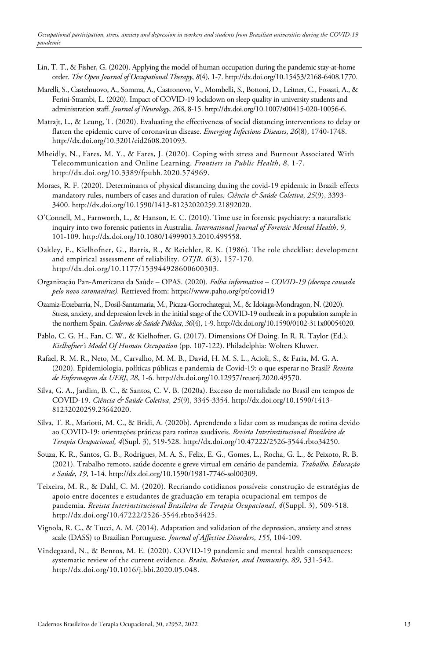- Lin, T. T., & Fisher, G. (2020). Applying the model of human occupation during the pandemic stay-at-home order. *The Open Journal of Occupational Therapy*, *8*(4), 1-7. http://dx.doi.org/10.15453/2168-6408.1770.
- Marelli, S., Castelnuovo, A., Somma, A., Castronovo, V., Mombelli, S., Bottoni, D., Leitner, C., Fossati, A., & Ferini-Strambi, L. (2020). Impact of COVID-19 lockdown on sleep quality in university students and administration staff. *Journal of Neurology*, *268*, 8-15. http://dx.doi.org/10.1007/s00415-020-10056-6.
- Matrajt, L., & Leung, T. (2020). Evaluating the effectiveness of social distancing interventions to delay or flatten the epidemic curve of coronavirus disease. *Emerging Infectious Diseases*, *26*(8), 1740-1748. http://dx.doi.org/10.3201/eid2608.201093.
- Mheidly, N., Fares, M. Y., & Fares, J. (2020). Coping with stress and Burnout Associated With Telecommunication and Online Learning. *Frontiers in Public Health*, *8*, 1-7. http://dx.doi.org/10.3389/fpubh.2020.574969.
- Moraes, R. F. (2020). Determinants of physical distancing during the covid-19 epidemic in Brazil: effects mandatory rules, numbers of cases and duration of rules. *Ciência & Saúde Coletiva*, *25*(9), 3393- 3400. http://dx.doi.org/10.1590/1413-81232020259.21892020.
- O'Connell, M., Farnworth, L., & Hanson, E. C. (2010). Time use in forensic psychiatry: a naturalistic inquiry into two forensic patients in Australia. *International Journal of Forensic Mental Health*, *9*, 101-109. http://dx.doi.org/10.1080/14999013.2010.499558.
- Oakley, F., Kielhofner, G., Barris, R., & Reichler, R. K. (1986). The role checklist: development and empirical assessment of reliability. *OTJR*, *6*(3), 157-170. http://dx.doi.org/10.1177/153944928600600303.
- Organização Pan-Americana da Saúde OPAS. (2020). *Folha informativa – COVID-19 (doença causada pelo novo coronavírus).* Retrieved from: https://www.paho.org/pt/covid19
- Ozamiz-Etxebarria, N., Dosil-Santamaria, M., Picaza-Gorrochategui, M., & Idoiaga-Mondragon, N. (2020). Stress, anxiety, and depression levels in the initial stage of the COVID-19 outbreak in a population sample in the northern Spain. *Cadernos de Saúde Pública*, *36*(4), 1-9. http://dx.doi.org/10.1590/0102-311x00054020.
- Pablo, C. G. H., Fan, C. W., & Kielhofner, G. (2017). Dimensions Of Doing. In R. R. Taylor (Ed.), *Kielhofner's Model Of Human Occupation* (pp. 107-122). Philadelphia: Wolters Kluwer.
- Rafael, R. M. R., Neto, M., Carvalho, M. M. B., David, H. M. S. L., Acioli, S., & Faria, M. G. A. (2020). Epidemiologia, políticas públicas e pandemia de Covid-19: o que esperar no Brasil? *Revista de Enfermagem da UERJ*, *28*, 1-6. http://dx.doi.org/10.12957/reuerj.2020.49570.
- Silva, G. A., Jardim, B. C., & Santos, C. V. B. (2020a). Excesso de mortalidade no Brasil em tempos de COVID-19. *Ciência & Saúde Coletiva*, *25*(9), 3345-3354. http://dx.doi.org/10.1590/1413- 81232020259.23642020.
- Silva, T. R., Mariotti, M. C., & Bridi, A. (2020b). Aprendendo a lidar com as mudanças de rotina devido ao COVID-19: orientações práticas para rotinas saudáveis. *Revista Interinstitucional Brasileira de Terapia Ocupacional, 4*(Supl. 3), 519-528. http://dx.doi.org/10.47222/2526-3544.rbto34250.
- Souza, K. R., Santos, G. B., Rodrigues, M. A. S., Felix, E. G., Gomes, L., Rocha, G. L., & Peixoto, R. B. (2021). Trabalho remoto, saúde docente e greve virtual em cenário de pandemia. *Trabalho, Educação e Saúde*, *19*, 1-14. http://dx.doi.org/10.1590/1981-7746-sol00309.
- Teixeira, M. R., & Dahl, C. M. (2020). Recriando cotidianos possíveis: construção de estratégias de apoio entre docentes e estudantes de graduação em terapia ocupacional em tempos de pandemia. *Revista Interinstitucional Brasileira de Terapia Ocupacional*, *4*(Suppl. 3), 509-518. http://dx.doi.org/10.47222/2526-3544.rbto34425.
- Vignola, R. C., & Tucci, A. M. (2014). Adaptation and validation of the depression, anxiety and stress scale (DASS) to Brazilian Portuguese. *Journal of Affective Disorders*, *155*, 104-109.
- Vindegaard, N., & Benros, M. E. (2020). COVID-19 pandemic and mental health consequences: systematic review of the current evidence. *Brain, Behavior, and Immunity*, *89*, 531-542. http://dx.doi.org/10.1016/j.bbi.2020.05.048.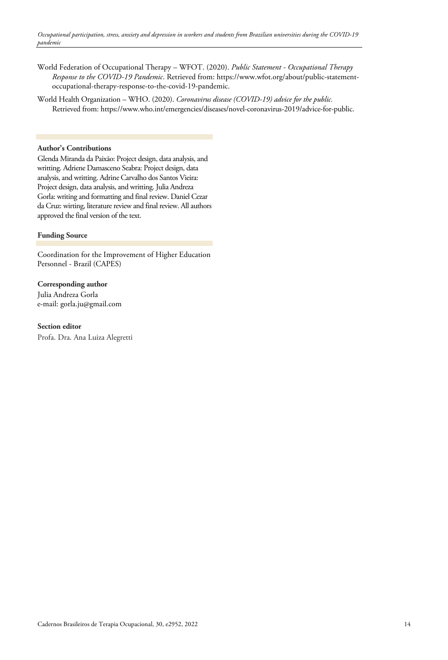- World Federation of Occupational Therapy WFOT. (2020). *Public Statement - Occupational Therapy Response to the COVID-19 Pandemic*. Retrieved from: https://www.wfot.org/about/public-statementoccupational-therapy-response-to-the-covid-19-pandemic.
- World Health Organization WHO. (2020). *Coronavirus disease (COVID-19) advice for the public.* Retrieved from: https://www.who.int/emergencies/diseases/novel-coronavirus-2019/advice-for-public.

#### **Author's Contributions**

Glenda Miranda da Paixão: Project design, data analysis, and writting. Adriene Damasceno Seabra: Project design, data analysis, and writting. Adrine Carvalho dos Santos Vieira: Project design, data analysis, and writting. Julia Andreza Gorla: writing and formatting and final review. Daniel Cezar da Cruz: wirting, literature review and final review. All authors approved the final version of the text.

#### **Funding Source**

Coordination for the Improvement of Higher Education Personnel - Brazil (CAPES)

**Corresponding author** Julia Andreza Gorla e-mail: gorla.ju@gmail.com

**Section editor**  Profa. Dra. Ana Luiza Alegretti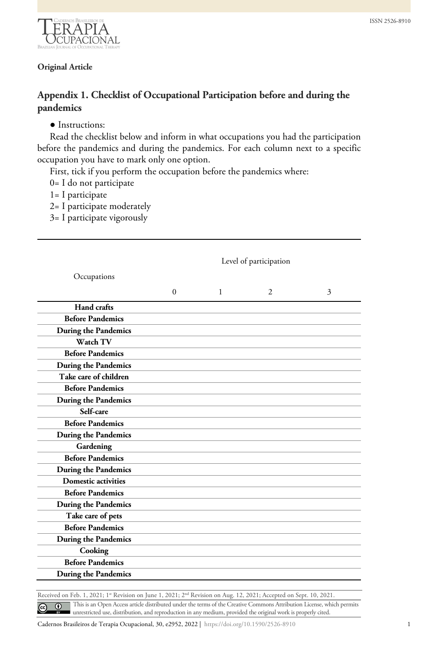

### **Original Article**

## **Appendix 1. Checklist of Occupational Participation before and during the pandemics**

#### ● Instructions:

Read the checklist below and inform in what occupations you had the participation before the pandemics and during the pandemics. For each column next to a specific occupation you have to mark only one option.

First, tick if you perform the occupation before the pandemics where:

- 0= I do not participate
- 1= I participate
- 2= I participate moderately
- 3= I participate vigorously

|                             |          |              | Level of participation |   |
|-----------------------------|----------|--------------|------------------------|---|
| Occupations                 |          |              |                        |   |
|                             | $\Omega$ | $\mathbf{1}$ | $\overline{c}$         | 3 |
| Hand crafts                 |          |              |                        |   |
| <b>Before Pandemics</b>     |          |              |                        |   |
| During the Pandemics        |          |              |                        |   |
| Watch TV                    |          |              |                        |   |
| <b>Before Pandemics</b>     |          |              |                        |   |
| During the Pandemics        |          |              |                        |   |
| Take care of children       |          |              |                        |   |
| <b>Before Pandemics</b>     |          |              |                        |   |
| <b>During the Pandemics</b> |          |              |                        |   |
| Self-care                   |          |              |                        |   |
| <b>Before Pandemics</b>     |          |              |                        |   |
| <b>During the Pandemics</b> |          |              |                        |   |
| Gardening                   |          |              |                        |   |
| <b>Before Pandemics</b>     |          |              |                        |   |
| During the Pandemics        |          |              |                        |   |
| <b>Domestic activities</b>  |          |              |                        |   |
| <b>Before Pandemics</b>     |          |              |                        |   |
| During the Pandemics        |          |              |                        |   |
| Take care of pets           |          |              |                        |   |
| <b>Before Pandemics</b>     |          |              |                        |   |
| During the Pandemics        |          |              |                        |   |
| Cooking                     |          |              |                        |   |
| <b>Before Pandemics</b>     |          |              |                        |   |
| <b>During the Pandemics</b> |          |              |                        |   |

Received on Feb. 1, 2021; 1<sup>st</sup> Revision on June 1, 2021; 2<sup>nd</sup> Revision on Aug. 12, 2021; Accepted on Sept. 10, 2021. This is an Open Access article distributed under the terms of the Creative Commons Attribution License, which permits  $\odot$  $\odot$ unrestricted use, distribution, and reproduction in any medium, provided the original work is properly cited.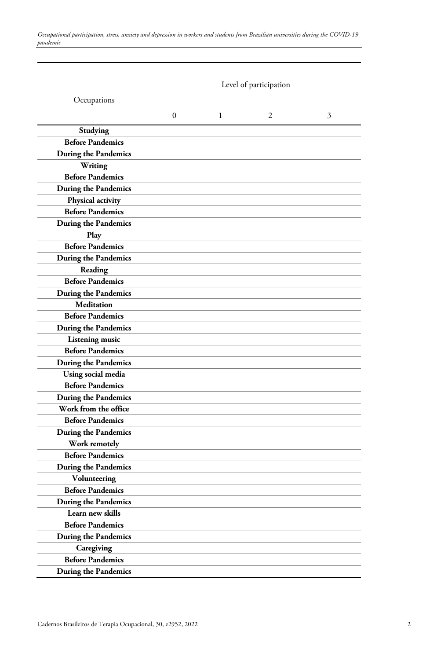|                             |              |   | Level of participation |   |
|-----------------------------|--------------|---|------------------------|---|
| Occupations                 |              |   |                        |   |
|                             | $\mathbf{0}$ | 1 | 2                      | 3 |
| Studying                    |              |   |                        |   |
| <b>Before Pandemics</b>     |              |   |                        |   |
| During the Pandemics        |              |   |                        |   |
| Writing                     |              |   |                        |   |
| <b>Before Pandemics</b>     |              |   |                        |   |
| During the Pandemics        |              |   |                        |   |
| Physical activity           |              |   |                        |   |
| <b>Before Pandemics</b>     |              |   |                        |   |
| During the Pandemics        |              |   |                        |   |
| Play                        |              |   |                        |   |
| <b>Before Pandemics</b>     |              |   |                        |   |
| During the Pandemics        |              |   |                        |   |
| Reading                     |              |   |                        |   |
| <b>Before Pandemics</b>     |              |   |                        |   |
| During the Pandemics        |              |   |                        |   |
| <b>Meditation</b>           |              |   |                        |   |
| <b>Before Pandemics</b>     |              |   |                        |   |
| During the Pandemics        |              |   |                        |   |
| Listening music             |              |   |                        |   |
| <b>Before Pandemics</b>     |              |   |                        |   |
| During the Pandemics        |              |   |                        |   |
| Using social media          |              |   |                        |   |
| <b>Before Pandemics</b>     |              |   |                        |   |
| During the Pandemics        |              |   |                        |   |
| Work from the office        |              |   |                        |   |
| <b>Before Pandemics</b>     |              |   |                        |   |
| <b>During the Pandemics</b> |              |   |                        |   |
| Work remotely               |              |   |                        |   |
| <b>Before Pandemics</b>     |              |   |                        |   |
| During the Pandemics        |              |   |                        |   |
| Volunteering                |              |   |                        |   |
| <b>Before Pandemics</b>     |              |   |                        |   |
| During the Pandemics        |              |   |                        |   |
| Learn new skills            |              |   |                        |   |
| <b>Before Pandemics</b>     |              |   |                        |   |
| During the Pandemics        |              |   |                        |   |
| Caregiving                  |              |   |                        |   |
| <b>Before Pandemics</b>     |              |   |                        |   |
| During the Pandemics        |              |   |                        |   |